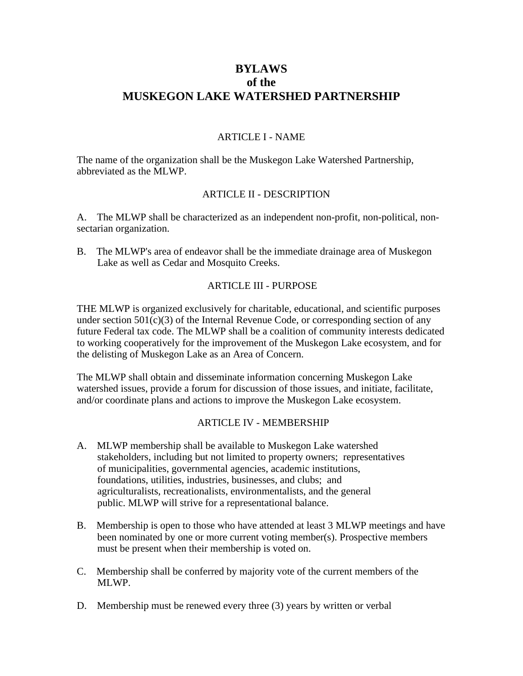# **BYLAWS of the MUSKEGON LAKE WATERSHED PARTNERSHIP**

#### ARTICLE I - NAME

The name of the organization shall be the Muskegon Lake Watershed Partnership, abbreviated as the MLWP.

#### ARTICLE II - DESCRIPTION

A. The MLWP shall be characterized as an independent non-profit, non-political, nonsectarian organization.

B. The MLWP's area of endeavor shall be the immediate drainage area of Muskegon Lake as well as Cedar and Mosquito Creeks.

#### ARTICLE III - PURPOSE

THE MLWP is organized exclusively for charitable, educational, and scientific purposes under section  $501(c)(3)$  of the Internal Revenue Code, or corresponding section of any future Federal tax code. The MLWP shall be a coalition of community interests dedicated to working cooperatively for the improvement of the Muskegon Lake ecosystem, and for the delisting of Muskegon Lake as an Area of Concern.

The MLWP shall obtain and disseminate information concerning Muskegon Lake watershed issues, provide a forum for discussion of those issues, and initiate, facilitate, and/or coordinate plans and actions to improve the Muskegon Lake ecosystem.

## ARTICLE IV - MEMBERSHIP

- A. MLWP membership shall be available to Muskegon Lake watershed stakeholders, including but not limited to property owners; representatives of municipalities, governmental agencies, academic institutions, foundations, utilities, industries, businesses, and clubs; and agriculturalists, recreationalists, environmentalists, and the general public. MLWP will strive for a representational balance.
- B. Membership is open to those who have attended at least 3 MLWP meetings and have been nominated by one or more current voting member(s). Prospective members must be present when their membership is voted on.
- C. Membership shall be conferred by majority vote of the current members of the MLWP.
- D. Membership must be renewed every three (3) years by written or verbal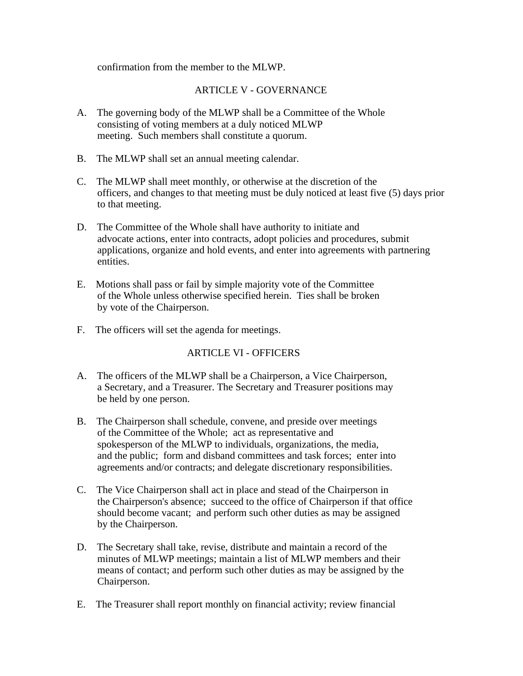confirmation from the member to the MLWP.

## ARTICLE V - GOVERNANCE

- A. The governing body of the MLWP shall be a Committee of the Whole consisting of voting members at a duly noticed MLWP meeting. Such members shall constitute a quorum.
- B. The MLWP shall set an annual meeting calendar.
- C. The MLWP shall meet monthly, or otherwise at the discretion of the officers, and changes to that meeting must be duly noticed at least five (5) days prior to that meeting.
- D. The Committee of the Whole shall have authority to initiate and advocate actions, enter into contracts, adopt policies and procedures, submit applications, organize and hold events, and enter into agreements with partnering entities.
- E. Motions shall pass or fail by simple majority vote of the Committee of the Whole unless otherwise specified herein. Ties shall be broken by vote of the Chairperson.
- F. The officers will set the agenda for meetings.

## ARTICLE VI - OFFICERS

- A. The officers of the MLWP shall be a Chairperson, a Vice Chairperson, a Secretary, and a Treasurer. The Secretary and Treasurer positions may be held by one person.
- B. The Chairperson shall schedule, convene, and preside over meetings of the Committee of the Whole; act as representative and spokesperson of the MLWP to individuals, organizations, the media, and the public; form and disband committees and task forces; enter into agreements and/or contracts; and delegate discretionary responsibilities.
- C. The Vice Chairperson shall act in place and stead of the Chairperson in the Chairperson's absence; succeed to the office of Chairperson if that office should become vacant; and perform such other duties as may be assigned by the Chairperson.
- D. The Secretary shall take, revise, distribute and maintain a record of the minutes of MLWP meetings; maintain a list of MLWP members and their means of contact; and perform such other duties as may be assigned by the Chairperson.
- E. The Treasurer shall report monthly on financial activity; review financial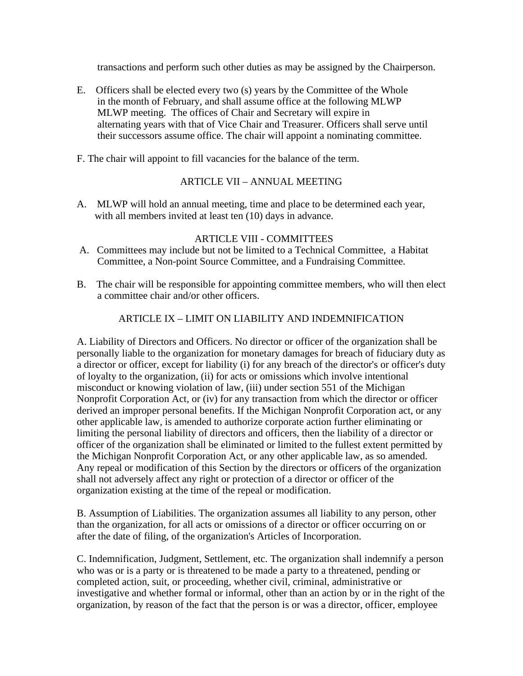transactions and perform such other duties as may be assigned by the Chairperson.

- E. Officers shall be elected every two (s) years by the Committee of the Whole in the month of February, and shall assume office at the following MLWP MLWP meeting. The offices of Chair and Secretary will expire in alternating years with that of Vice Chair and Treasurer. Officers shall serve until their successors assume office. The chair will appoint a nominating committee.
- F. The chair will appoint to fill vacancies for the balance of the term.

## ARTICLE VII – ANNUAL MEETING

A. MLWP will hold an annual meeting, time and place to be determined each year, with all members invited at least ten (10) days in advance.

#### ARTICLE VIII - COMMITTEES

- A. Committees may include but not be limited to a Technical Committee, a Habitat Committee, a Non-point Source Committee, and a Fundraising Committee.
- B. The chair will be responsible for appointing committee members, who will then elect a committee chair and/or other officers.

## ARTICLE IX – LIMIT ON LIABILITY AND INDEMNIFICATION

A. Liability of Directors and Officers. No director or officer of the organization shall be personally liable to the organization for monetary damages for breach of fiduciary duty as a director or officer, except for liability (i) for any breach of the director's or officer's duty of loyalty to the organization, (ii) for acts or omissions which involve intentional misconduct or knowing violation of law, (iii) under section 551 of the Michigan Nonprofit Corporation Act, or (iv) for any transaction from which the director or officer derived an improper personal benefits. If the Michigan Nonprofit Corporation act, or any other applicable law, is amended to authorize corporate action further eliminating or limiting the personal liability of directors and officers, then the liability of a director or officer of the organization shall be eliminated or limited to the fullest extent permitted by the Michigan Nonprofit Corporation Act, or any other applicable law, as so amended. Any repeal or modification of this Section by the directors or officers of the organization shall not adversely affect any right or protection of a director or officer of the organization existing at the time of the repeal or modification.

B. Assumption of Liabilities. The organization assumes all liability to any person, other than the organization, for all acts or omissions of a director or officer occurring on or after the date of filing, of the organization's Articles of Incorporation.

C. Indemnification, Judgment, Settlement, etc. The organization shall indemnify a person who was or is a party or is threatened to be made a party to a threatened, pending or completed action, suit, or proceeding, whether civil, criminal, administrative or investigative and whether formal or informal, other than an action by or in the right of the organization, by reason of the fact that the person is or was a director, officer, employee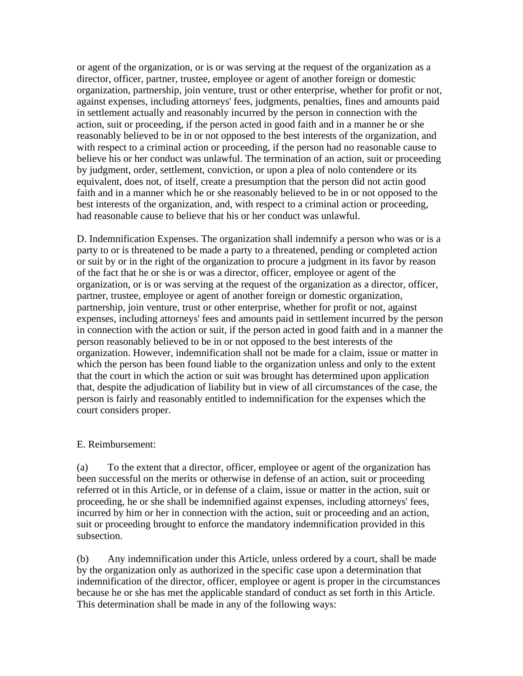or agent of the organization, or is or was serving at the request of the organization as a director, officer, partner, trustee, employee or agent of another foreign or domestic organization, partnership, join venture, trust or other enterprise, whether for profit or not, against expenses, including attorneys' fees, judgments, penalties, fines and amounts paid in settlement actually and reasonably incurred by the person in connection with the action, suit or proceeding, if the person acted in good faith and in a manner he or she reasonably believed to be in or not opposed to the best interests of the organization, and with respect to a criminal action or proceeding, if the person had no reasonable cause to believe his or her conduct was unlawful. The termination of an action, suit or proceeding by judgment, order, settlement, conviction, or upon a plea of nolo contendere or its equivalent, does not, of itself, create a presumption that the person did not actin good faith and in a manner which he or she reasonably believed to be in or not opposed to the best interests of the organization, and, with respect to a criminal action or proceeding, had reasonable cause to believe that his or her conduct was unlawful.

D. Indemnification Expenses. The organization shall indemnify a person who was or is a party to or is threatened to be made a party to a threatened, pending or completed action or suit by or in the right of the organization to procure a judgment in its favor by reason of the fact that he or she is or was a director, officer, employee or agent of the organization, or is or was serving at the request of the organization as a director, officer, partner, trustee, employee or agent of another foreign or domestic organization, partnership, join venture, trust or other enterprise, whether for profit or not, against expenses, including attorneys' fees and amounts paid in settlement incurred by the person in connection with the action or suit, if the person acted in good faith and in a manner the person reasonably believed to be in or not opposed to the best interests of the organization. However, indemnification shall not be made for a claim, issue or matter in which the person has been found liable to the organization unless and only to the extent that the court in which the action or suit was brought has determined upon application that, despite the adjudication of liability but in view of all circumstances of the case, the person is fairly and reasonably entitled to indemnification for the expenses which the court considers proper.

## E. Reimbursement:

(a) To the extent that a director, officer, employee or agent of the organization has been successful on the merits or otherwise in defense of an action, suit or proceeding referred ot in this Article, or in defense of a claim, issue or matter in the action, suit or proceeding, he or she shall be indemnified against expenses, including attorneys' fees, incurred by him or her in connection with the action, suit or proceeding and an action, suit or proceeding brought to enforce the mandatory indemnification provided in this subsection.

(b) Any indemnification under this Article, unless ordered by a court, shall be made by the organization only as authorized in the specific case upon a determination that indemnification of the director, officer, employee or agent is proper in the circumstances because he or she has met the applicable standard of conduct as set forth in this Article. This determination shall be made in any of the following ways: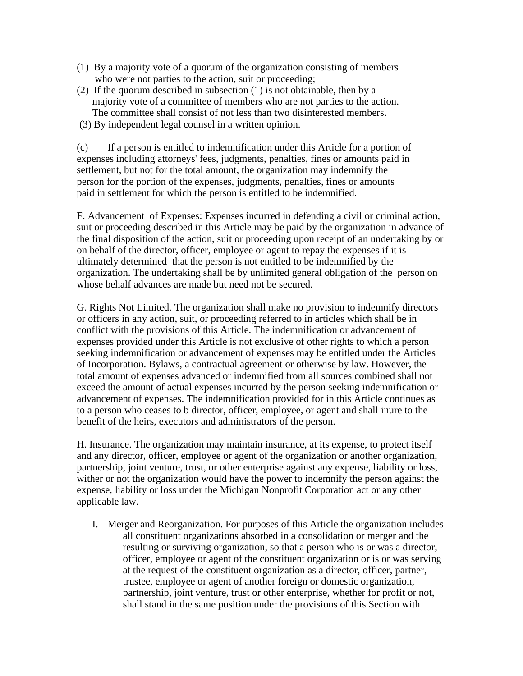- (1) By a majority vote of a quorum of the organization consisting of members who were not parties to the action, suit or proceeding;
- (2) If the quorum described in subsection (1) is not obtainable, then by a majority vote of a committee of members who are not parties to the action. The committee shall consist of not less than two disinterested members.
- (3) By independent legal counsel in a written opinion.

(c) If a person is entitled to indemnification under this Article for a portion of expenses including attorneys' fees, judgments, penalties, fines or amounts paid in settlement, but not for the total amount, the organization may indemnify the person for the portion of the expenses, judgments, penalties, fines or amounts paid in settlement for which the person is entitled to be indemnified.

F. Advancement of Expenses: Expenses incurred in defending a civil or criminal action, suit or proceeding described in this Article may be paid by the organization in advance of the final disposition of the action, suit or proceeding upon receipt of an undertaking by or on behalf of the director, officer, employee or agent to repay the expenses if it is ultimately determined that the person is not entitled to be indemnified by the organization. The undertaking shall be by unlimited general obligation of the person on whose behalf advances are made but need not be secured.

G. Rights Not Limited. The organization shall make no provision to indemnify directors or officers in any action, suit, or proceeding referred to in articles which shall be in conflict with the provisions of this Article. The indemnification or advancement of expenses provided under this Article is not exclusive of other rights to which a person seeking indemnification or advancement of expenses may be entitled under the Articles of Incorporation. Bylaws, a contractual agreement or otherwise by law. However, the total amount of expenses advanced or indemnified from all sources combined shall not exceed the amount of actual expenses incurred by the person seeking indemnification or advancement of expenses. The indemnification provided for in this Article continues as to a person who ceases to b director, officer, employee, or agent and shall inure to the benefit of the heirs, executors and administrators of the person.

H. Insurance. The organization may maintain insurance, at its expense, to protect itself and any director, officer, employee or agent of the organization or another organization, partnership, joint venture, trust, or other enterprise against any expense, liability or loss, wither or not the organization would have the power to indemnify the person against the expense, liability or loss under the Michigan Nonprofit Corporation act or any other applicable law.

I. Merger and Reorganization. For purposes of this Article the organization includes all constituent organizations absorbed in a consolidation or merger and the resulting or surviving organization, so that a person who is or was a director, officer, employee or agent of the constituent organization or is or was serving at the request of the constituent organization as a director, officer, partner, trustee, employee or agent of another foreign or domestic organization, partnership, joint venture, trust or other enterprise, whether for profit or not, shall stand in the same position under the provisions of this Section with